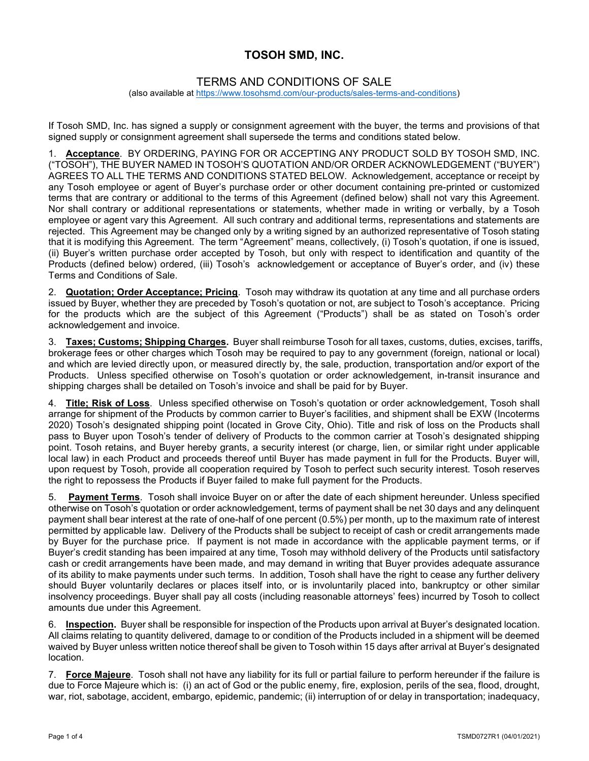## TOSOH SMD, INC.

## TERMS AND CONDITIONS OF SALE

(also available at https://www.tosohsmd.com/our-products/sales-terms-and-conditions)

If Tosoh SMD, Inc. has signed a supply or consignment agreement with the buyer, the terms and provisions of that signed supply or consignment agreement shall supersede the terms and conditions stated below.

1. Acceptance. BY ORDERING, PAYING FOR OR ACCEPTING ANY PRODUCT SOLD BY TOSOH SMD, INC. ("TOSOH"), THE BUYER NAMED IN TOSOH'S QUOTATION AND/OR ORDER ACKNOWLEDGEMENT ("BUYER") AGREES TO ALL THE TERMS AND CONDITIONS STATED BELOW. Acknowledgement, acceptance or receipt by any Tosoh employee or agent of Buyer's purchase order or other document containing pre-printed or customized terms that are contrary or additional to the terms of this Agreement (defined below) shall not vary this Agreement. Nor shall contrary or additional representations or statements, whether made in writing or verbally, by a Tosoh employee or agent vary this Agreement. All such contrary and additional terms, representations and statements are rejected. This Agreement may be changed only by a writing signed by an authorized representative of Tosoh stating that it is modifying this Agreement. The term "Agreement" means, collectively, (i) Tosoh's quotation, if one is issued, (ii) Buyer's written purchase order accepted by Tosoh, but only with respect to identification and quantity of the Products (defined below) ordered, (iii) Tosoh's acknowledgement or acceptance of Buyer's order, and (iv) these Terms and Conditions of Sale.

2. Quotation; Order Acceptance; Pricing. Tosoh may withdraw its quotation at any time and all purchase orders issued by Buyer, whether they are preceded by Tosoh's quotation or not, are subject to Tosoh's acceptance. Pricing for the products which are the subject of this Agreement ("Products") shall be as stated on Tosoh's order acknowledgement and invoice.

3. Taxes; Customs; Shipping Charges. Buyer shall reimburse Tosoh for all taxes, customs, duties, excises, tariffs, brokerage fees or other charges which Tosoh may be required to pay to any government (foreign, national or local) and which are levied directly upon, or measured directly by, the sale, production, transportation and/or export of the Products. Unless specified otherwise on Tosoh's quotation or order acknowledgement, in-transit insurance and shipping charges shall be detailed on Tosoh's invoice and shall be paid for by Buyer.

4. Title; Risk of Loss. Unless specified otherwise on Tosoh's quotation or order acknowledgement, Tosoh shall arrange for shipment of the Products by common carrier to Buyer's facilities, and shipment shall be EXW (Incoterms 2020) Tosoh's designated shipping point (located in Grove City, Ohio). Title and risk of loss on the Products shall pass to Buyer upon Tosoh's tender of delivery of Products to the common carrier at Tosoh's designated shipping point. Tosoh retains, and Buyer hereby grants, a security interest (or charge, lien, or similar right under applicable local law) in each Product and proceeds thereof until Buyer has made payment in full for the Products. Buyer will, upon request by Tosoh, provide all cooperation required by Tosoh to perfect such security interest. Tosoh reserves the right to repossess the Products if Buyer failed to make full payment for the Products.

5. Payment Terms. Tosoh shall invoice Buyer on or after the date of each shipment hereunder. Unless specified otherwise on Tosoh's quotation or order acknowledgement, terms of payment shall be net 30 days and any delinquent payment shall bear interest at the rate of one-half of one percent (0.5%) per month, up to the maximum rate of interest permitted by applicable law. Delivery of the Products shall be subject to receipt of cash or credit arrangements made by Buyer for the purchase price. If payment is not made in accordance with the applicable payment terms, or if Buyer's credit standing has been impaired at any time, Tosoh may withhold delivery of the Products until satisfactory cash or credit arrangements have been made, and may demand in writing that Buyer provides adequate assurance of its ability to make payments under such terms. In addition, Tosoh shall have the right to cease any further delivery should Buyer voluntarily declares or places itself into, or is involuntarily placed into, bankruptcy or other similar insolvency proceedings. Buyer shall pay all costs (including reasonable attorneys' fees) incurred by Tosoh to collect amounts due under this Agreement.

6. Inspection. Buyer shall be responsible for inspection of the Products upon arrival at Buyer's designated location. All claims relating to quantity delivered, damage to or condition of the Products included in a shipment will be deemed waived by Buyer unless written notice thereof shall be given to Tosoh within 15 days after arrival at Buyer's designated location.

7. Force Majeure. Tosoh shall not have any liability for its full or partial failure to perform hereunder if the failure is due to Force Majeure which is: (i) an act of God or the public enemy, fire, explosion, perils of the sea, flood, drought, war, riot, sabotage, accident, embargo, epidemic, pandemic; (ii) interruption of or delay in transportation; inadequacy,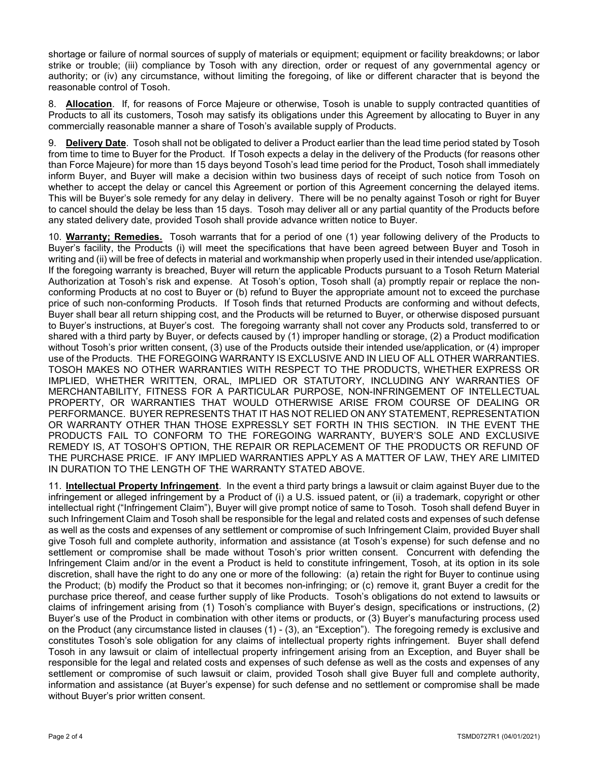shortage or failure of normal sources of supply of materials or equipment; equipment or facility breakdowns; or labor strike or trouble; (iii) compliance by Tosoh with any direction, order or request of any governmental agency or authority; or (iv) any circumstance, without limiting the foregoing, of like or different character that is beyond the reasonable control of Tosoh.

8. Allocation. If, for reasons of Force Majeure or otherwise, Tosoh is unable to supply contracted quantities of Products to all its customers, Tosoh may satisfy its obligations under this Agreement by allocating to Buyer in any commercially reasonable manner a share of Tosoh's available supply of Products.

9. Delivery Date. Tosoh shall not be obligated to deliver a Product earlier than the lead time period stated by Tosoh from time to time to Buyer for the Product. If Tosoh expects a delay in the delivery of the Products (for reasons other than Force Majeure) for more than 15 days beyond Tosoh's lead time period for the Product, Tosoh shall immediately inform Buyer, and Buyer will make a decision within two business days of receipt of such notice from Tosoh on whether to accept the delay or cancel this Agreement or portion of this Agreement concerning the delayed items. This will be Buyer's sole remedy for any delay in delivery. There will be no penalty against Tosoh or right for Buyer to cancel should the delay be less than 15 days. Tosoh may deliver all or any partial quantity of the Products before any stated delivery date, provided Tosoh shall provide advance written notice to Buyer.

10. Warranty; Remedies. Tosoh warrants that for a period of one (1) year following delivery of the Products to Buyer's facility, the Products (i) will meet the specifications that have been agreed between Buyer and Tosoh in writing and (ii) will be free of defects in material and workmanship when properly used in their intended use/application. If the foregoing warranty is breached, Buyer will return the applicable Products pursuant to a Tosoh Return Material Authorization at Tosoh's risk and expense. At Tosoh's option, Tosoh shall (a) promptly repair or replace the nonconforming Products at no cost to Buyer or (b) refund to Buyer the appropriate amount not to exceed the purchase price of such non-conforming Products. If Tosoh finds that returned Products are conforming and without defects, Buyer shall bear all return shipping cost, and the Products will be returned to Buyer, or otherwise disposed pursuant to Buyer's instructions, at Buyer's cost. The foregoing warranty shall not cover any Products sold, transferred to or shared with a third party by Buyer, or defects caused by (1) improper handling or storage, (2) a Product modification without Tosoh's prior written consent, (3) use of the Products outside their intended use/application, or (4) improper use of the Products. THE FOREGOING WARRANTY IS EXCLUSIVE AND IN LIEU OF ALL OTHER WARRANTIES. TOSOH MAKES NO OTHER WARRANTIES WITH RESPECT TO THE PRODUCTS, WHETHER EXPRESS OR IMPLIED, WHETHER WRITTEN, ORAL, IMPLIED OR STATUTORY, INCLUDING ANY WARRANTIES OF MERCHANTABILITY, FITNESS FOR A PARTICULAR PURPOSE, NON-INFRINGEMENT OF INTELLECTUAL PROPERTY, OR WARRANTIES THAT WOULD OTHERWISE ARISE FROM COURSE OF DEALING OR PERFORMANCE. BUYER REPRESENTS THAT IT HAS NOT RELIED ON ANY STATEMENT, REPRESENTATION OR WARRANTY OTHER THAN THOSE EXPRESSLY SET FORTH IN THIS SECTION. IN THE EVENT THE PRODUCTS FAIL TO CONFORM TO THE FOREGOING WARRANTY, BUYER'S SOLE AND EXCLUSIVE REMEDY IS, AT TOSOH'S OPTION, THE REPAIR OR REPLACEMENT OF THE PRODUCTS OR REFUND OF THE PURCHASE PRICE. IF ANY IMPLIED WARRANTIES APPLY AS A MATTER OF LAW, THEY ARE LIMITED IN DURATION TO THE LENGTH OF THE WARRANTY STATED ABOVE.

11. Intellectual Property Infringement. In the event a third party brings a lawsuit or claim against Buyer due to the infringement or alleged infringement by a Product of (i) a U.S. issued patent, or (ii) a trademark, copyright or other intellectual right ("Infringement Claim"), Buyer will give prompt notice of same to Tosoh. Tosoh shall defend Buyer in such Infringement Claim and Tosoh shall be responsible for the legal and related costs and expenses of such defense as well as the costs and expenses of any settlement or compromise of such Infringement Claim, provided Buyer shall give Tosoh full and complete authority, information and assistance (at Tosoh's expense) for such defense and no settlement or compromise shall be made without Tosoh's prior written consent. Concurrent with defending the Infringement Claim and/or in the event a Product is held to constitute infringement, Tosoh, at its option in its sole discretion, shall have the right to do any one or more of the following: (a) retain the right for Buyer to continue using the Product; (b) modify the Product so that it becomes non-infringing; or (c) remove it, grant Buyer a credit for the purchase price thereof, and cease further supply of like Products. Tosoh's obligations do not extend to lawsuits or claims of infringement arising from (1) Tosoh's compliance with Buyer's design, specifications or instructions, (2) Buyer's use of the Product in combination with other items or products, or (3) Buyer's manufacturing process used on the Product (any circumstance listed in clauses (1) - (3), an "Exception"). The foregoing remedy is exclusive and constitutes Tosoh's sole obligation for any claims of intellectual property rights infringement. Buyer shall defend Tosoh in any lawsuit or claim of intellectual property infringement arising from an Exception, and Buyer shall be responsible for the legal and related costs and expenses of such defense as well as the costs and expenses of any settlement or compromise of such lawsuit or claim, provided Tosoh shall give Buyer full and complete authority, information and assistance (at Buyer's expense) for such defense and no settlement or compromise shall be made without Buyer's prior written consent.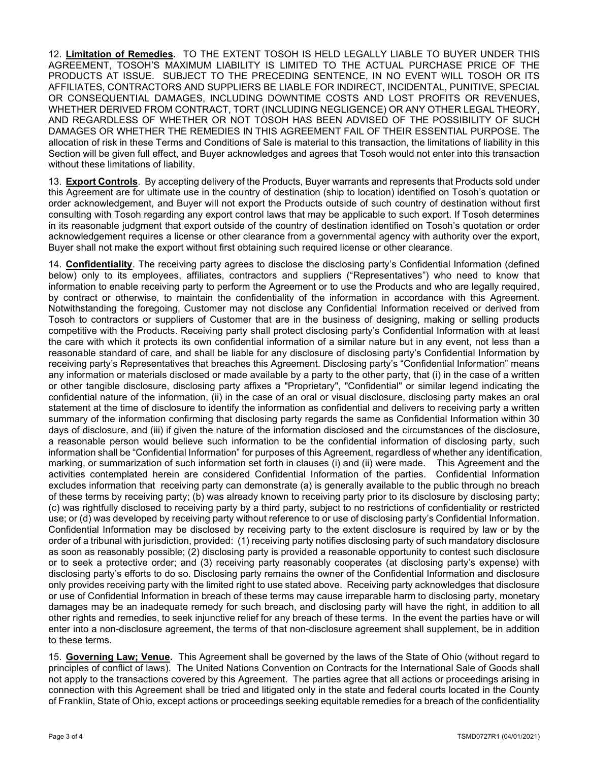12. Limitation of Remedies. TO THE EXTENT TOSOH IS HELD LEGALLY LIABLE TO BUYER UNDER THIS AGREEMENT, TOSOH'S MAXIMUM LIABILITY IS LIMITED TO THE ACTUAL PURCHASE PRICE OF THE PRODUCTS AT ISSUE. SUBJECT TO THE PRECEDING SENTENCE, IN NO EVENT WILL TOSOH OR ITS AFFILIATES, CONTRACTORS AND SUPPLIERS BE LIABLE FOR INDIRECT, INCIDENTAL, PUNITIVE, SPECIAL OR CONSEQUENTIAL DAMAGES, INCLUDING DOWNTIME COSTS AND LOST PROFITS OR REVENUES, WHETHER DERIVED FROM CONTRACT, TORT (INCLUDING NEGLIGENCE) OR ANY OTHER LEGAL THEORY, AND REGARDLESS OF WHETHER OR NOT TOSOH HAS BEEN ADVISED OF THE POSSIBILITY OF SUCH DAMAGES OR WHETHER THE REMEDIES IN THIS AGREEMENT FAIL OF THEIR ESSENTIAL PURPOSE. The allocation of risk in these Terms and Conditions of Sale is material to this transaction, the limitations of liability in this Section will be given full effect, and Buyer acknowledges and agrees that Tosoh would not enter into this transaction without these limitations of liability.

13. Export Controls. By accepting delivery of the Products, Buyer warrants and represents that Products sold under this Agreement are for ultimate use in the country of destination (ship to location) identified on Tosoh's quotation or order acknowledgement, and Buyer will not export the Products outside of such country of destination without first consulting with Tosoh regarding any export control laws that may be applicable to such export. If Tosoh determines in its reasonable judgment that export outside of the country of destination identified on Tosoh's quotation or order acknowledgement requires a license or other clearance from a governmental agency with authority over the export, Buyer shall not make the export without first obtaining such required license or other clearance.

14. Confidentiality. The receiving party agrees to disclose the disclosing party's Confidential Information (defined below) only to its employees, affiliates, contractors and suppliers ("Representatives") who need to know that information to enable receiving party to perform the Agreement or to use the Products and who are legally required, by contract or otherwise, to maintain the confidentiality of the information in accordance with this Agreement. Notwithstanding the foregoing, Customer may not disclose any Confidential Information received or derived from Tosoh to contractors or suppliers of Customer that are in the business of designing, making or selling products competitive with the Products. Receiving party shall protect disclosing party's Confidential Information with at least the care with which it protects its own confidential information of a similar nature but in any event, not less than a reasonable standard of care, and shall be liable for any disclosure of disclosing party's Confidential Information by receiving party's Representatives that breaches this Agreement. Disclosing party's "Confidential Information" means any information or materials disclosed or made available by a party to the other party, that (i) in the case of a written or other tangible disclosure, disclosing party affixes a "Proprietary", "Confidential" or similar legend indicating the confidential nature of the information, (ii) in the case of an oral or visual disclosure, disclosing party makes an oral statement at the time of disclosure to identify the information as confidential and delivers to receiving party a written summary of the information confirming that disclosing party regards the same as Confidential Information within 30 days of disclosure, and (iii) if given the nature of the information disclosed and the circumstances of the disclosure, a reasonable person would believe such information to be the confidential information of disclosing party, such information shall be "Confidential Information" for purposes of this Agreement, regardless of whether any identification, marking, or summarization of such information set forth in clauses (i) and (ii) were made. This Agreement and the activities contemplated herein are considered Confidential Information of the parties. Confidential Information excludes information that receiving party can demonstrate (a) is generally available to the public through no breach of these terms by receiving party; (b) was already known to receiving party prior to its disclosure by disclosing party; (c) was rightfully disclosed to receiving party by a third party, subject to no restrictions of confidentiality or restricted use; or (d) was developed by receiving party without reference to or use of disclosing party's Confidential Information. Confidential Information may be disclosed by receiving party to the extent disclosure is required by law or by the order of a tribunal with jurisdiction, provided: (1) receiving party notifies disclosing party of such mandatory disclosure as soon as reasonably possible; (2) disclosing party is provided a reasonable opportunity to contest such disclosure or to seek a protective order; and (3) receiving party reasonably cooperates (at disclosing party's expense) with disclosing party's efforts to do so. Disclosing party remains the owner of the Confidential Information and disclosure only provides receiving party with the limited right to use stated above. Receiving party acknowledges that disclosure or use of Confidential Information in breach of these terms may cause irreparable harm to disclosing party, monetary damages may be an inadequate remedy for such breach, and disclosing party will have the right, in addition to all other rights and remedies, to seek injunctive relief for any breach of these terms. In the event the parties have or will enter into a non-disclosure agreement, the terms of that non-disclosure agreement shall supplement, be in addition to these terms.

15. Governing Law; Venue. This Agreement shall be governed by the laws of the State of Ohio (without regard to principles of conflict of laws). The United Nations Convention on Contracts for the International Sale of Goods shall not apply to the transactions covered by this Agreement. The parties agree that all actions or proceedings arising in connection with this Agreement shall be tried and litigated only in the state and federal courts located in the County of Franklin, State of Ohio, except actions or proceedings seeking equitable remedies for a breach of the confidentiality